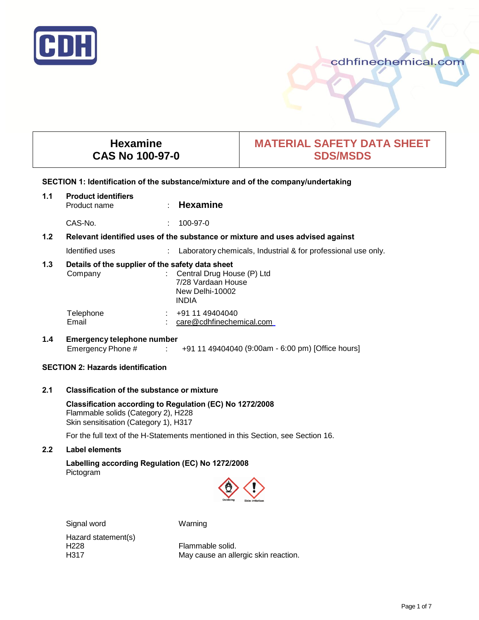

# cdhfinechemical.com

# **Hexamine CAS No 100-97-0**

# **MATERIAL SAFETY DATA SHEET SDS/MSDS**

## **SECTION 1: Identification of the substance/mixture and of the company/undertaking**

# **1.1 Product identifiers** Product name : **Hexamine**

CAS-No. : 100-97-0

# **1.2 Relevant identified uses of the substance or mixture and uses advised against**

Identified uses : Laboratory chemicals, Industrial & for professional use only.

## **1.3 Details of the supplier of the safety data sheet**

| Company   | : Central Drug House (P) Ltd<br>7/28 Vardaan House<br>New Delhi-10002<br><b>INDIA</b> |
|-----------|---------------------------------------------------------------------------------------|
| Telephone | $\div$ +91 11 49404040                                                                |
| Email     | care@cdhfinechemical.com                                                              |

# **1.4 Emergency telephone number** Emergency Phone # : +91 11 49404040 (9:00am - 6:00 pm) [Office hours]

# **SECTION 2: Hazards identification**

# **2.1 Classification of the substance or mixture**

## **Classification according to Regulation (EC) No 1272/2008**  Flammable solids (Category 2), H228 Skin sensitisation (Category 1), H317

For the full text of the H-Statements mentioned in this Section, see Section 16.

# **2.2 Label elements**

# **Labelling according Regulation (EC) No 1272/2008** Pictogram



Signal word Warning Hazard statement(s)

H228 Flammable solid.<br>H317 **Flammable solid.**<br>May cause an all May cause an allergic skin reaction.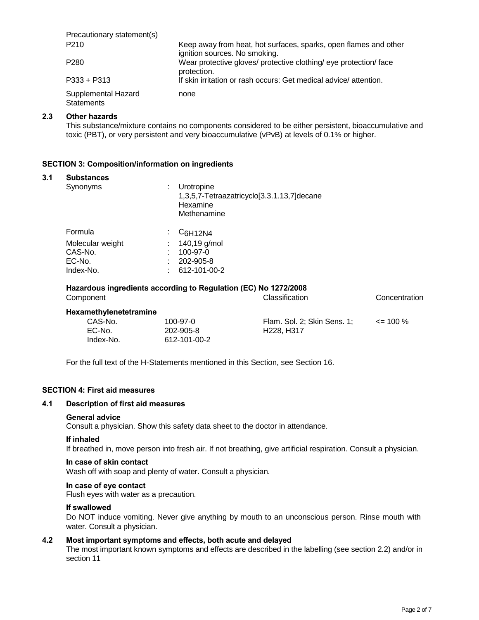| Precautionary statement(s)               |                                                                                                   |
|------------------------------------------|---------------------------------------------------------------------------------------------------|
| P <sub>210</sub>                         | Keep away from heat, hot surfaces, sparks, open flames and other<br>ignition sources. No smoking. |
| P <sub>280</sub>                         | Wear protective gloves/ protective clothing/ eye protection/ face<br>protection.                  |
| $P333 + P313$                            | If skin irritation or rash occurs: Get medical advice/attention.                                  |
| Supplemental Hazard<br><b>Statements</b> | none                                                                                              |

## **2.3 Other hazards**

This substance/mixture contains no components considered to be either persistent, bioaccumulative and toxic (PBT), or very persistent and very bioaccumulative (vPvB) at levels of 0.1% or higher.

## **SECTION 3: Composition/information on ingredients**

#### **3.1 Substances**

| Synonyms         | ÷ | Urotropine<br>1,3,5,7-Tetraazatricyclo[3.3.1.13,7]decane<br>Hexamine<br>Methenamine |
|------------------|---|-------------------------------------------------------------------------------------|
| Formula          | ÷ | C <sub>6</sub> H12N4                                                                |
| Molecular weight |   | 140,19 g/mol                                                                        |
| CAS-No.          | t | 100-97-0                                                                            |
| EC-No.           |   | 202-905-8                                                                           |
| Index-No.        |   | 612-101-00-2                                                                        |

# **Hazardous ingredients according to Regulation (EC) No 1272/2008**

| Component              |                | Classification                      | Concentration |
|------------------------|----------------|-------------------------------------|---------------|
| Hexamethylenetetramine |                |                                     |               |
| CAS-No.                | $100 - 97 - 0$ | Flam. Sol. 2; Skin Sens. 1;         | $\leq$ 100 %  |
| EC-No.                 | 202-905-8      | H <sub>228</sub> . H <sub>317</sub> |               |
| Index-No.              | 612-101-00-2   |                                     |               |
|                        |                |                                     |               |

For the full text of the H-Statements mentioned in this Section, see Section 16.

#### **SECTION 4: First aid measures**

#### **4.1 Description of first aid measures**

#### **General advice**

Consult a physician. Show this safety data sheet to the doctor in attendance.

#### **If inhaled**

If breathed in, move person into fresh air. If not breathing, give artificial respiration. Consult a physician.

#### **In case of skin contact**

Wash off with soap and plenty of water. Consult a physician.

# **In case of eye contact**

Flush eyes with water as a precaution.

#### **If swallowed**

Do NOT induce vomiting. Never give anything by mouth to an unconscious person. Rinse mouth with water. Consult a physician.

#### **4.2 Most important symptoms and effects, both acute and delayed**

The most important known symptoms and effects are described in the labelling (see section 2.2) and/or in section 11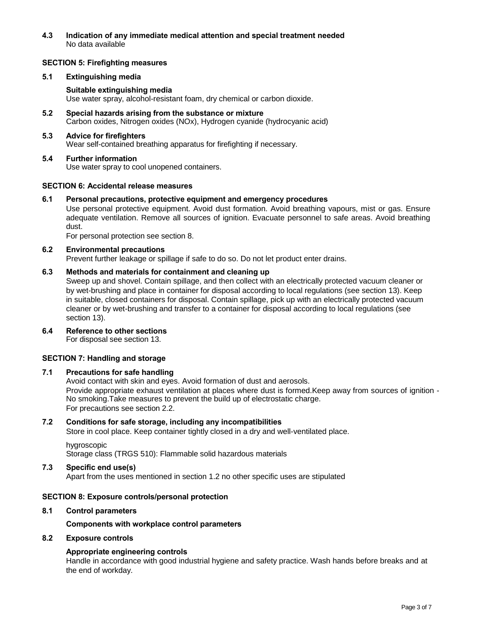**4.3 Indication of any immediate medical attention and special treatment needed** No data available

### **SECTION 5: Firefighting measures**

#### **5.1 Extinguishing media**

## **Suitable extinguishing media**

Use water spray, alcohol-resistant foam, dry chemical or carbon dioxide.

**5.2 Special hazards arising from the substance or mixture**  Carbon oxides, Nitrogen oxides (NOx), Hydrogen cyanide (hydrocyanic acid)

#### **5.3 Advice for firefighters**

Wear self-contained breathing apparatus for firefighting if necessary.

**5.4 Further information** Use water spray to cool unopened containers.

#### **SECTION 6: Accidental release measures**

**6.1 Personal precautions, protective equipment and emergency procedures** 

Use personal protective equipment. Avoid dust formation. Avoid breathing vapours, mist or gas. Ensure adequate ventilation. Remove all sources of ignition. Evacuate personnel to safe areas. Avoid breathing dust.

For personal protection see section 8.

## **6.2 Environmental precautions**

Prevent further leakage or spillage if safe to do so. Do not let product enter drains.

# **6.3 Methods and materials for containment and cleaning up**

Sweep up and shovel. Contain spillage, and then collect with an electrically protected vacuum cleaner or by wet-brushing and place in container for disposal according to local regulations (see section 13). Keep in suitable, closed containers for disposal. Contain spillage, pick up with an electrically protected vacuum cleaner or by wet-brushing and transfer to a container for disposal according to local regulations (see section 13).

**6.4 Reference to other sections**

For disposal see section 13.

# **SECTION 7: Handling and storage**

## **7.1 Precautions for safe handling**

Avoid contact with skin and eyes. Avoid formation of dust and aerosols. Provide appropriate exhaust ventilation at places where dust is formed.Keep away from sources of ignition - No smoking.Take measures to prevent the build up of electrostatic charge. For precautions see section 2.2.

## **7.2 Conditions for safe storage, including any incompatibilities**

Store in cool place. Keep container tightly closed in a dry and well-ventilated place.

hygroscopic Storage class (TRGS 510): Flammable solid hazardous materials

#### **7.3 Specific end use(s)**

Apart from the uses mentioned in section 1.2 no other specific uses are stipulated

## **SECTION 8: Exposure controls/personal protection**

#### **8.1 Control parameters**

#### **Components with workplace control parameters**

#### **8.2 Exposure controls**

## **Appropriate engineering controls**

Handle in accordance with good industrial hygiene and safety practice. Wash hands before breaks and at the end of workday.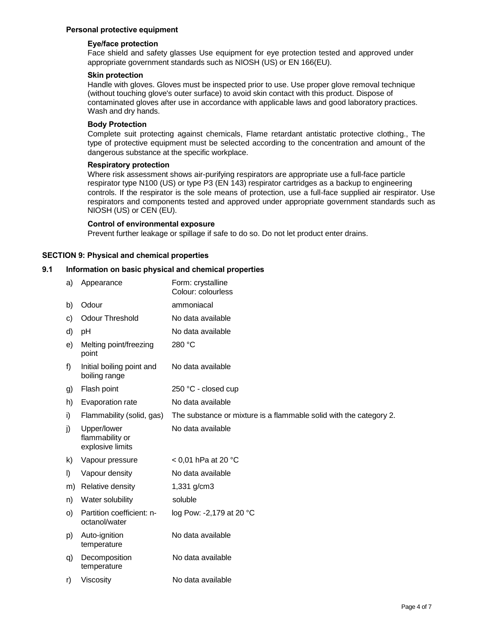## **Personal protective equipment**

## **Eye/face protection**

Face shield and safety glasses Use equipment for eye protection tested and approved under appropriate government standards such as NIOSH (US) or EN 166(EU).

#### **Skin protection**

Handle with gloves. Gloves must be inspected prior to use. Use proper glove removal technique (without touching glove's outer surface) to avoid skin contact with this product. Dispose of contaminated gloves after use in accordance with applicable laws and good laboratory practices. Wash and dry hands.

#### **Body Protection**

Complete suit protecting against chemicals, Flame retardant antistatic protective clothing., The type of protective equipment must be selected according to the concentration and amount of the dangerous substance at the specific workplace.

#### **Respiratory protection**

Where risk assessment shows air-purifying respirators are appropriate use a full-face particle respirator type N100 (US) or type P3 (EN 143) respirator cartridges as a backup to engineering controls. If the respirator is the sole means of protection, use a full-face supplied air respirator. Use respirators and components tested and approved under appropriate government standards such as NIOSH (US) or CEN (EU).

#### **Control of environmental exposure**

Prevent further leakage or spillage if safe to do so. Do not let product enter drains.

## **SECTION 9: Physical and chemical properties**

## **9.1 Information on basic physical and chemical properties**

a) Appearance Form: crystalline Colour: colourless b) Odour ammoniacal c) Odour Threshold No data available d) pH No data available e) Melting point/freezing 280 °C point f) Initial boiling point and No data available boiling range g) Flash point 250 °C - closed cup h) Evaporation rate No data available i) Flammability (solid, gas) The substance or mixture is a flammable solid with the category 2. j) Upper/lower No data available flammability or explosive limits k) Vapour pressure < 0,01 hPa at 20 °C l) Vapour density No data available m) Relative density 1,331 g/cm3 n) Water solubility soluble o) Partition coefficient: n- log Pow: -2,179 at 20 °C octanol/water p) Auto-ignition No data available temperature q) Decomposition No data available temperature r) Viscosity No data available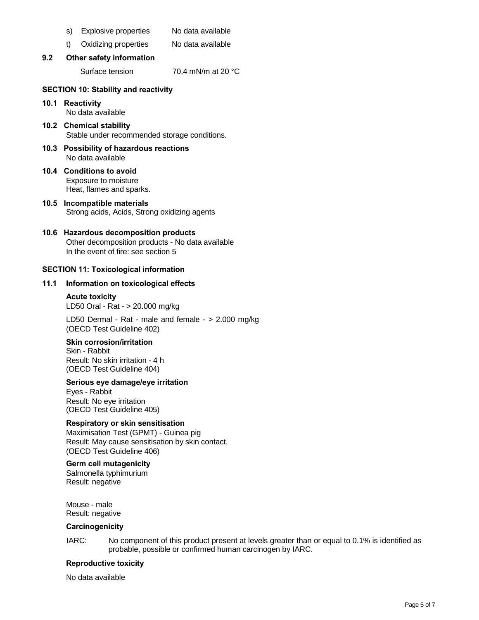- s) Explosive properties No data available
- t) Oxidizing properties No data available
- **9.2 Other safety information**

Surface tension 70.4 mN/m at 20 °C

# **SECTION 10: Stability and reactivity**

**10.1 Reactivity** 

No data available

- **10.2 Chemical stability**  Stable under recommended storage conditions.
- **10.3 Possibility of hazardous reactions**  No data available
- **10.4 Conditions to avoid**  Exposure to moisture Heat, flames and sparks.
- **10.5 Incompatible materials**  Strong acids, Acids, Strong oxidizing agents

# **10.6 Hazardous decomposition products**

Other decomposition products - No data available In the event of fire: see section 5

# **SECTION 11: Toxicological information**

## **11.1 Information on toxicological effects**

# **Acute toxicity**  LD50 Oral - Rat - > 20.000 mg/kg

LD50 Dermal - Rat - male and female - > 2.000 mg/kg (OECD Test Guideline 402)

## **Skin corrosion/irritation**

Skin - Rabbit Result: No skin irritation - 4 h (OECD Test Guideline 404)

## **Serious eye damage/eye irritation**

Eyes - Rabbit Result: No eye irritation (OECD Test Guideline 405)

## **Respiratory or skin sensitisation**

Maximisation Test (GPMT) - Guinea pig Result: May cause sensitisation by skin contact. (OECD Test Guideline 406)

## **Germ cell mutagenicity**

Salmonella typhimurium Result: negative

Mouse - male Result: negative

## **Carcinogenicity**

IARC: No component of this product present at levels greater than or equal to 0.1% is identified as probable, possible or confirmed human carcinogen by IARC.

#### **Reproductive toxicity**

No data available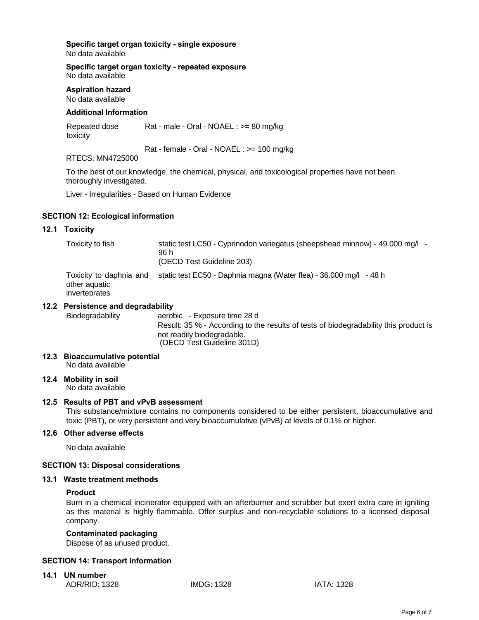**Specific target organ toxicity - single exposure**  No data available

**Specific target organ toxicity - repeated exposure**  No data available

# **Aspiration hazard**

# No data available

# **Additional Information**

Repeated dose Rat - male - Oral - NOAEL : >= 80 mg/kg toxicity

Rat - female - Oral - NOAEL : >= 100 mg/kg

# RTECS: MN4725000

To the best of our knowledge, the chemical, physical, and toxicological properties have not been thoroughly investigated.

Liver - Irregularities - Based on Human Evidence

## **SECTION 12: Ecological information**

## **12.1 Toxicity**

| Toxicity to fish                                          | static test LC50 - Cyprinodon variegatus (sheepshead minnow) - 49.000 mg/l -<br>96 h<br>(OECD Test Guideline 203) |
|-----------------------------------------------------------|-------------------------------------------------------------------------------------------------------------------|
| Toxicity to daphnia and<br>other aquatic<br>invertebrates | static test EC50 - Daphnia magna (Water flea) - 36.000 mg/l<br>- 48 h                                             |

## **12.2 Persistence and degradability**

Biodegradability aerobic - Exposure time 28 d Result: 35 % - According to the results of tests of biodegradability this product is not readily biodegradable. (OECD Test Guideline 301D)

- **12.3 Bioaccumulative potential**  No data available
- **12.4 Mobility in soil**  No data available

# **12.5 Results of PBT and vPvB assessment**

This substance/mixture contains no components considered to be either persistent, bioaccumulative and toxic (PBT), or very persistent and very bioaccumulative (vPvB) at levels of 0.1% or higher.

## **12.6 Other adverse effects**

No data available

## **SECTION 13: Disposal considerations**

## **13.1 Waste treatment methods**

## **Product**

Burn in a chemical incinerator equipped with an afterburner and scrubber but exert extra care in igniting as this material is highly flammable. Offer surplus and non-recyclable solutions to a licensed disposal company.

# **Contaminated packaging**

Dispose of as unused product.

## **SECTION 14: Transport information**

**14.1 UN number**